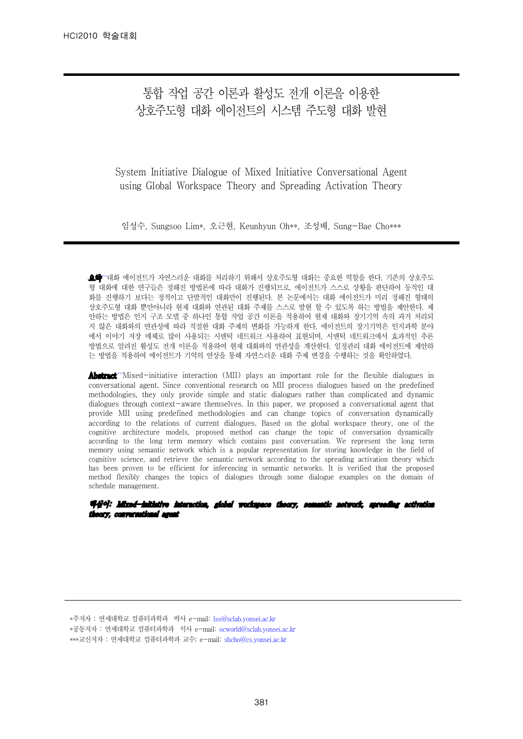# 통합 작업 공간 이론과 활성도 전개 이론을 이용한 상호주도형 대화 에이전트의 시스템 주도형 대화 발현

System Initiative Dialogue of Mixed Initiative Conversational Agent using Global Workspace Theory and Spreading Activation Theory

임성수, Sungsoo Lim\*, 오근현, Keunhyun Oh\*\*, 조성배, Sung-Bae Cho\*\*\*

요약 ~대화 에이전트가 자연스러운 대화를 처리하기 위해서 상호주도형 대화는 중요한 역할을 한다. 기존의 상호주도 형 대화에 대한 연구들은 정해진 방법론에 따라 대화가 진행되므로, 에이전트가 스스로 상황을 판단하여 동적인 대 화를 진행하기 보다는 정적이고 단발적인 대화만이 진행된다. 본 논문에서는 대화 에이전트가 미리 정해진 형태의 상호주도형 대화 뿐만아니라 현재 대화와 연관된 대화 주제를 스스로 발현 할 수 있도록 하는 방법을 제안한다. 제 안하는 방법은 인지 구조 모델 중 하나인 통합 작업 공간 이론을 적용하여 현재 대화와 장기기억 속의 과거 처리되 지 않은 대화와의 연관성에 따라 적절한 대화 주제의 변화를 가능하게 한다. 에이전트의 장기기억은 인지과학 분야 에서 이야기 저장 매체로 많이 사용되는 시맨틱 네트워크 사용하여 표현되며, 시맨틱 네트워크에서 효과적인 추론 방법으로 알려진 활성도 전개 이론을 적용하여 현재 대화와의 연관성을 계산한다. 일정관리 대화 에이전트에 제안하 는 방법을 적용하여 에이전트가 기억의 연상을 통해 자연스러운 대화 주제 변경을 수행하는 것을 확인하였다.

Abstract<sup>™</sup>Mixed-initiative interaction (MII) plays an important role for the flexible dialogues in conversational agent. Since conventional research on MII process dialogues based on the predefined methodologies, they only provide simple and static dialogues rather than complicated and dynamic dialogues through context-aware themselves. In this paper, we proposed a conversational agent that provide MII using predefined methodologies and can change topics of conversation dynamically according to the relations of current dialogues. Based on the global workspace theory, one of the cognitive architecture models, proposed method can change the topic of conversation dynamically according to the long term memory which contains past conversation. We represent the long term memory using semantic network which is a popular representation for storing knowledge in the field of cognitive science, and retrieve the semantic network according to the spreading activation theory which has been proven to be efficient for inferencing in semantic networks. It is verified that the proposed method flexibly changes the topics of dialogues through some dialogue examples on the domain of schedule management.

핵심어: Mixed-initiative interaction, global workspace theory, semantic network, spreading activation theory, conversational agent

\*주저자 : 연세대학교 컴퓨터과학과 박사 e-mail: lss@sclab.yonsei.ac.kr

- \*공동저자 : 연세대학교 컴퓨터과학과 석사 e-mail: ocworld@sclab.yonsei.ac.kr
- \*\*\*교신저자 : 연세대학교 컴퓨터과학과 교수; e-mail: sbcho@cs.yonsei.ac.kr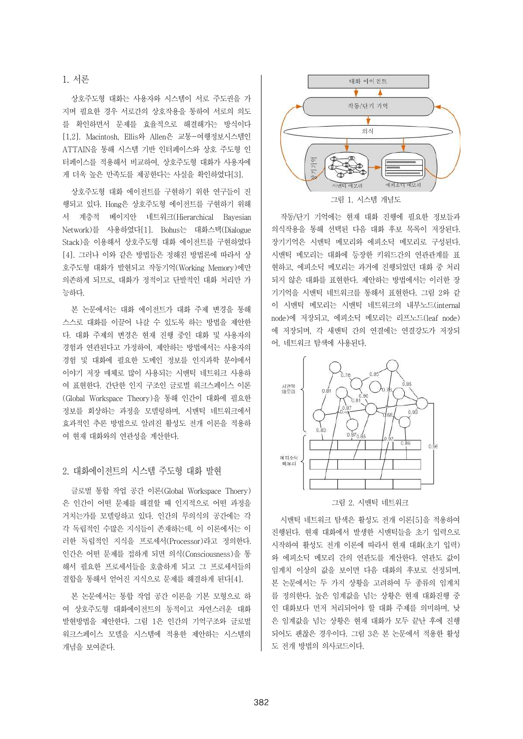## 1. 서론

상호주도형 대화는 사용자와 시스템이 서로 주도권을 가 지며 필요한 경우 서로간의 상호작용을 통하여 서로의 의도 를 확인하면서 문제를 효율적으로 해결해가는 방식이다 [1,2]. Macintosh, Ellis와 Allen은 교통-여행정보시스템인 ATTAIN을 통해 시스템 기반 인터페이스와 상호 주도형 인 터페이스를 적용해서 비교하여, 상호주도형 대화가 사용자에 게 더욱 높은 만족도를 제공한다는 사실을 확인하였다[3].

상호주도형 대화 에이전트를 구현하기 위한 연구들이 진 행되고 있다. Hong은 상호주도형 에이전트를 구현하기 위해 서 계층적 베이지안 네트워크(Hierarchical Bayesian Network)를 사용하였다[1]. Bohus는 대화스택(Dialogue | 의식작용을 통해 선택된 다음 대화 후보 목록이 저장된다. Stack)을 이용해서 상호주도형 대화 에이전트를 구현하였다 [4]. 그러나 이와 같은 방법들은 정해진 방법론에 따라서 상 호주도형 대화가 발현되고 작동기억(Working Memory)에만 의존하게 되므로, 대화가 정적이고 단발적인 대화 처리만 가 능하다.

본 논문에서는 대화 에이전트가 대화 주제 변경을 통해 스스로 대화를 이끌어 나갈 수 있도록 하는 방법을 제안한 다. 대화 주제의 변경은 현재 진행 중인 대화 및 사용자의 경험과 연관된다고 가정하여, 제안하는 방법에서는 사용자의 경험 및 대화에 필요한 도메인 정보를 인지과학 분야에서 이야기 저장 매체로 많이 사용되는 시맨틱 네트워크 사용하 여 표현한다. 간단한 인지 구조인 글로벌 워크스페이스 이론 | 시행력 (Global Workspace Theory)을 통해 인간이 대화에 필요한 정보를 회상하는 과정을 모델링하며, 시맨틱 네트워크에서 효과적인 추론 방법으로 알려진 활성도 전개 이론을 적용하 여 현재 대화와의 연관성을 계산한다.

# 2. 대화에이전트의 시스템 주도형 대화 발현

글로벌 통합 작업 공간 이론(Global Workspace Thoery) 은 인간이 어떤 문제를 해결할 때 인지적으로 어떤 과정을 거치는가를 모델링하고 있다. 인간의 무의식의 공간에는 각 각 독립적인 수많은 지식들이 존재하는데, 이 이론에서는 이 러한 독립적인 지식을 프로세서(Processor)라고 정의한다.<br>인간은 어떤 문제를 접하게 되면 의식(Consciousness)을 통 해서 필요한 프로세서들을 호출하게 되고 그 프로세서들의 | 임계치 이상의 값을 보이면 다음 대화의 후보로 선정되며, 결합을 통해서 얻어진 지식으로 문제를 해결하게 된다[4].

본 논문에서는 통합 작업 공간 이론을 기본 모형으로 하 여 상호주도형 대화에이전트의 동적이고 자연스러운 대화 발현방법을 제안한다. 그림 1은 인간의 기억구조와 글로벌 워크스페이스 모델을 시스템에 적용한 제안하는 시스템의 개념을 보여준다.



작동/단기 기억에는 현재 대화 진행에 필요한 정보들과 장기기억은 시맨틱 메모리와 에피소딕 메모리로 구성된다. 현하고, 에피소딕 메모리는 과거에 진행되었던 대화 중 처리 되지 않은 대화를 표현한다. 제안하는 방법에서는 이러한 장 기기억을 시맨틱 네트워크를 통해서 표현한다. 그림 2와 같 이 시맨틱 메모리는 시맨틱 네트워크의 내부노드(internal node)에 저장되고, 에피소딕 메모리는 리프노드(leaf node) 에 저장되며, 각 새맨틱 간의 연결에는 연결강도가 저장되 어, 네트워크 탐색에 사용된다.



그림 2. 시맨틱 네트워크

시맨틱 네트워크 탐색은 활성도 전개 이론[5]을 적용하여 진행된다. 현재 대화에서 발생한 시맨틱들을 초기 입력으로 시작하여 활성도 전개 이론에 따라서 현재 대화(초기 입력) 와 에피소딕 메모리 간의 연관도를 계산한다. 연관도 값이 본 논문에서는 두 가지 상황을 고려하여 두 종류의 임계치 를 정의한다. 높은 임계값을 넘는 상황은 현재 대화진행 중 인 대화보다 먼저 처리되어야 할 대화 주제를 의미하며, 낮 은 임계값을 넘는 상황은 현재 대화가 모두 끝난 후에 진행 되어도 괜찮은 경우이다. 그림 3은 본 논문에서 적용한 활성 도 전개 방법의 의사코드이다.